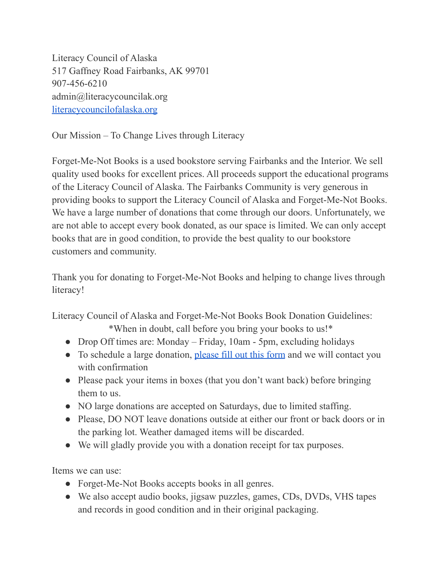Literacy Council of Alaska 517 Gaffney Road Fairbanks, AK 99701 907-456-6210 admin@literacycouncilak.org [literacycouncilofalaska.org](https://www.literacycouncilofalaska.org/)

Our Mission – To Change Lives through Literacy

Forget-Me-Not Books is a used bookstore serving Fairbanks and the Interior. We sell quality used books for excellent prices. All proceeds support the educational programs of the Literacy Council of Alaska. The Fairbanks Community is very generous in providing books to support the Literacy Council of Alaska and Forget-Me-Not Books. We have a large number of donations that come through our doors. Unfortunately, we are not able to accept every book donated, as our space is limited. We can only accept books that are in good condition, to provide the best quality to our bookstore customers and community.

Thank you for donating to Forget-Me-Not Books and helping to change lives through literacy!

Literacy Council of Alaska and Forget-Me-Not Books Book Donation Guidelines:

\*When in doubt, call before you bring your books to us!\*

- Drop Off times are: Monday Friday, 10am 5pm, excluding holidays
- To schedule a large donation, [please fill out this](https://docs.google.com/forms/d/e/1FAIpQLSc-73q0xiMibAsi2DaJ6MhMd-phH-Iu_nTEUowj9D7jmD5oKg/viewform?usp=sf_link) form and we will contact you with confirmation
- Please pack your items in boxes (that you don't want back) before bringing them to us.
- NO large donations are accepted on Saturdays, due to limited staffing.
- Please, DO NOT leave donations outside at either our front or back doors or in the parking lot. Weather damaged items will be discarded.
- We will gladly provide you with a donation receipt for tax purposes.

Items we can use:

- Forget-Me-Not Books accepts books in all genres.
- We also accept audio books, jigsaw puzzles, games, CDs, DVDs, VHS tapes and records in good condition and in their original packaging.